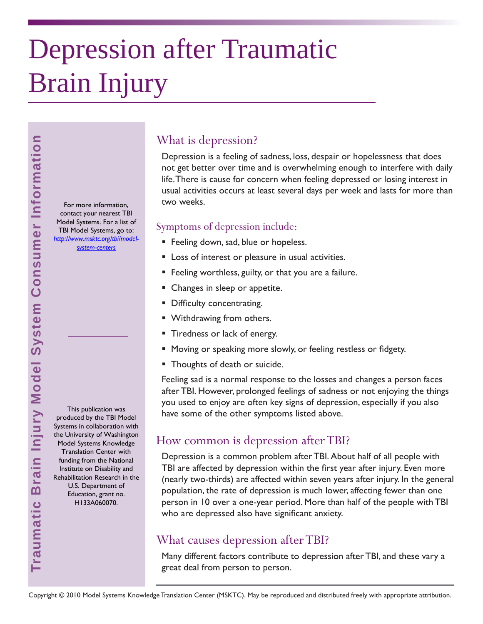# Depression after Traumatic Brain Injury

For more information, contact your nearest TBI Model Systems. For a list of TBI Model Systems, go to: *[http://www.msktc.org/tbi/model](http://www.msktc.org/tbi/model-system-centers)system-centers* 

This publication was produced by the TBI Model Systems in collaboration with the University of Washington Model Systems Knowledge Translation Center with funding from the National Institute on Disability and Rehabilitation Research in the U.S. Department of Education, grant no. H133A060070.

**Traumatic Brain Injury Model System Consumer Information**

Traumatic Brain Injury Model System Consumer Information

# What is depression?

Depression is a feeling of sadness, loss, despair or hopelessness that does not get better over time and is overwhelming enough to interfere with daily life. There is cause for concern when feeling depressed or losing interest in usual activities occurs at least several days per week and lasts for more than two weeks.

#### Symptoms of depression include:

- **Feeling down, sad, blue or hopeless.**
- **Loss of interest or pleasure in usual activities.**
- Feeling worthless, guilty, or that you are a failure.
- Changes in sleep or appetite.
- Difficulty concentrating.
- Withdrawing from others.
- **Tiredness or lack of energy.**
- Moving or speaking more slowly, or feeling restless or fidgety.
- **Thoughts of death or suicide.**

Feeling sad is a normal response to the losses and changes a person faces after TBI. However, prolonged feelings of sadness or not enjoying the things you used to enjoy are often key signs of depression, especially if you also have some of the other symptoms listed above.

# How common is depression after TBI?

Depression is a common problem after TBI. About half of all people with TBI are affected by depression within the first year after injury. Even more (nearly two-thirds) are affected within seven years after injury. In the general population, the rate of depression is much lower, affecting fewer than one person in 10 over a one-year period. More than half of the people with TBI who are depressed also have significant anxiety.

# What causes depression after TBI?

Many different factors contribute to depression after TBI, and these vary a great deal from person to person.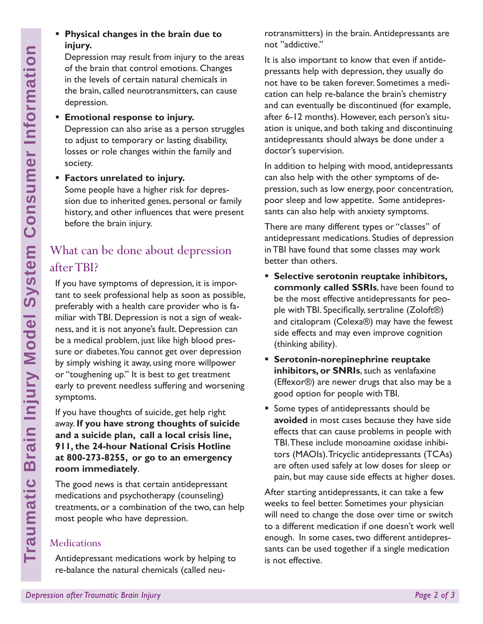#### **Physical changes in the brain due to injury.**

Depression may result from injury to the areas of the brain that control emotions. Changes in the levels of certain natural chemicals in the brain, called neurotransmitters, can cause depression.

- **Emotional response to injury.** Depression can also arise as a person struggles to adjust to temporary or lasting disability, losses or role changes within the family and society.
- **Factors unrelated to injury.**

Some people have a higher risk for depression due to inherited genes, personal or family history, and other influences that were present before the brain injury.

# What can be done about depression after TBI?

**Depression and the proper state of the brain in the levels of certain nat the brain, called neurotral dependence to the brain Interval dependence of the consumer of the motion of the motion of the motion of the motion of** If you have symptoms of depression, it is important to seek professional help as soon as possible, preferably with a health care provider who is familiar with TBI. Depression is not a sign of weakness, and it is not anyone's fault. Depression can be a medical problem, just like high blood pressure or diabetes. You cannot get over depression by simply wishing it away, using more willpower or "toughening up." It is best to get treatment early to prevent needless suffering and worsening symptoms.

If you have thoughts of suicide, get help right away. **If you have strong thoughts of suicide and a suicide plan, call a local crisis line, 911, the 24-hour National Crisis Hotline at 800-273-8255, or go to an emergency room immediately**.

The good news is that certain antidepressant medications and psychotherapy (counseling) treatments, or a combination of the two, can help most people who have depression.

# **Medications**

Antidepressant medications work by helping to re-balance the natural chemicals (called neurotransmitters) in the brain. Antidepressants are not "addictive."

It is also important to know that even if antidepressants help with depression, they usually do not have to be taken forever. Sometimes a medication can help re-balance the brain's chemistry and can eventually be discontinued (for example, after 6-12 months). However, each person's situation is unique, and both taking and discontinuing antidepressants should always be done under a doctor's supervision.

In addition to helping with mood, antidepressants can also help with the other symptoms of depression, such as low energy, poor concentration, poor sleep and low appetite. Some antidepressants can also help with anxiety symptoms.

There are many different types or "classes" of antidepressant medications. Studies of depression in TBI have found that some classes may work better than others.

- **Selective serotonin reuptake inhibitors, commonly called SSRIs**, have been found to be the most effective antidepressants for people with TBI. Specifically, sertraline  $(Zoloft@)$ and citalopram (Celexa®) may have the fewest side effects and may even improve cognition (thinking ability).
- **Serotonin-norepinephrine reuptake inhibitors, or SNRIs**, such as venlafaxine (Effexor®) are newer drugs that also may be a good option for people with TBI.
- Some types of antidepressants should be **avoided** in most cases because they have side effects that can cause problems in people with TBI. These include monoamine oxidase inhibitors (MAOIs). Tricyclic antidepressants (TCAs) are often used safely at low doses for sleep or pain, but may cause side effects at higher doses.

After starting antidepressants, it can take a few weeks to feel better. Sometimes your physician will need to change the dose over time or switch to a different medication if one doesn't work well enough. In some cases, two different antidepressants can be used together if a single medication is not effective.